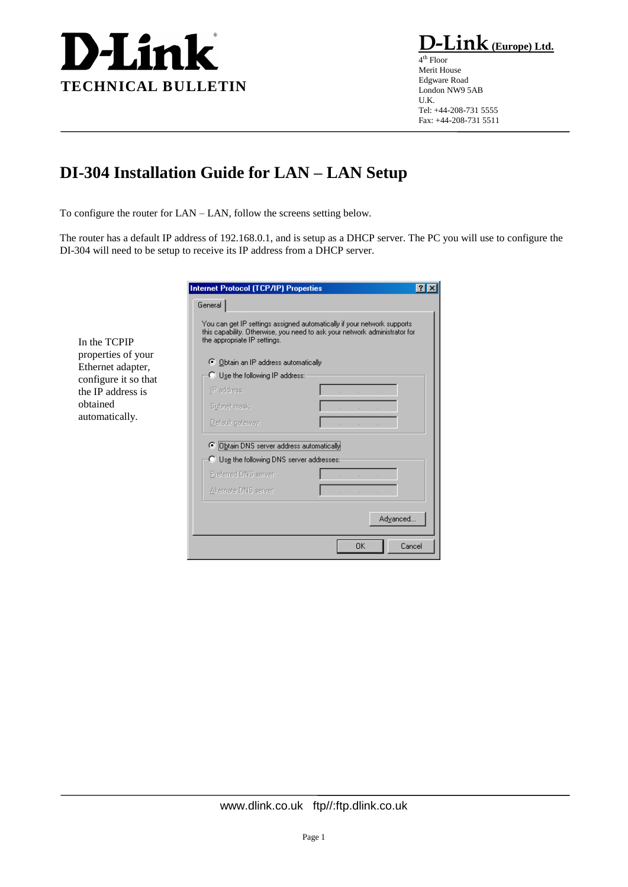

In the TCPIP properties of your Ethernet adapter, configure it so that the IP address is obtained automatically.

 $\mathbf{link}_{(\underline{Europe})\ \underline{Ltd.}}$ 

4 th Floor Merit House Edgware Road London NW9 5AB U.K. Tel: +44-208-731 5555 Fax: +44-208-731 5511

## **DI-304 Installation Guide for LAN – LAN Setup**

To configure the router for LAN – LAN, follow the screens setting below.

The router has a default IP address of 192.168.0.1, and is setup as a DHCP server. The PC you will use to configure the DI-304 will need to be setup to receive its IP address from a DHCP server.

| General                                            |                                                                                                                                                        |
|----------------------------------------------------|--------------------------------------------------------------------------------------------------------------------------------------------------------|
| the appropriate IP settings.                       | You can get IP settings assigned automatically if your network supports.<br>this capability. Otherwise, you need to ask your network administrator for |
| <b>C</b> Obtain an IP address automatically        |                                                                                                                                                        |
| C Use the following IP address:                    |                                                                                                                                                        |
| IP address:                                        |                                                                                                                                                        |
| Subnet mask:                                       |                                                                                                                                                        |
| Default gateway:                                   |                                                                                                                                                        |
| C Dbtain DNS server address automatically          |                                                                                                                                                        |
| $\bigcirc$ Use the following DNS server addresses: |                                                                                                                                                        |
| Preferred DNS server:                              |                                                                                                                                                        |
| Alternate DNS server:                              |                                                                                                                                                        |
|                                                    |                                                                                                                                                        |
|                                                    | Advanced                                                                                                                                               |
|                                                    | <b>OK</b><br>Cancel                                                                                                                                    |

www.dlink.co.uk ftp//:ftp.dlink.co.uk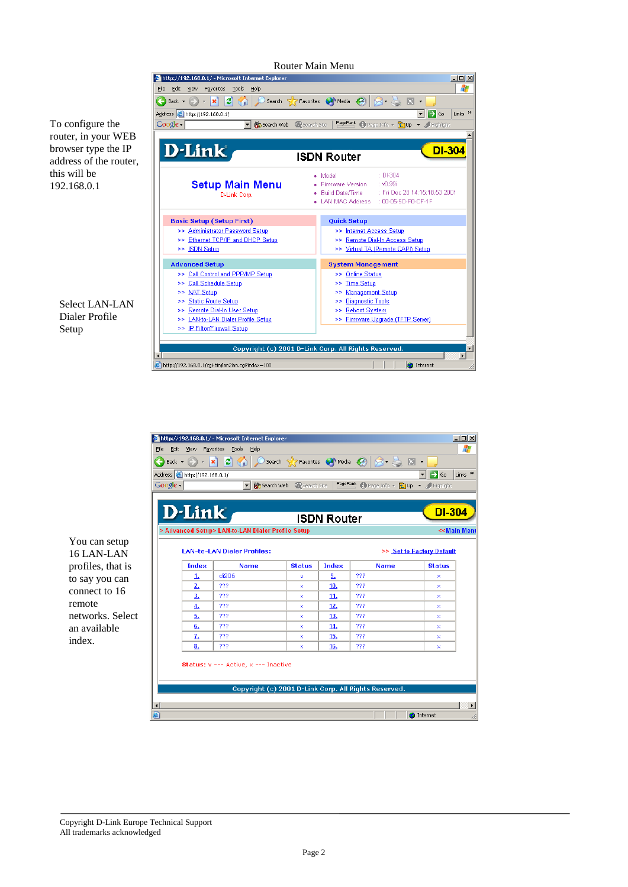To configure the router, in your WEB browser type the IP address of the router, this will be 192.168.0.1





| View                                     | Favorites<br>Tools<br>Help                        |                         |                    |                                                      |                                            |
|------------------------------------------|---------------------------------------------------|-------------------------|--------------------|------------------------------------------------------|--------------------------------------------|
|                                          |                                                   |                         |                    |                                                      |                                            |
| Address <b>&amp;</b> http://192.168.0.1/ |                                                   |                         |                    |                                                      | $\Rightarrow$ Go                           |
| Google -                                 |                                                   | Search Web @Search Site |                    | PageRank & Page Info - 2 Highlight                   |                                            |
|                                          |                                                   |                         |                    |                                                      |                                            |
| $D$ -Link                                |                                                   |                         | <b>ISDN Router</b> |                                                      | <b>DI-304</b>                              |
|                                          | > Advanced Setup> LAN-to-LAN Dialer Profile Setup |                         |                    |                                                      | << Main Men                                |
|                                          |                                                   |                         |                    |                                                      |                                            |
| <b>Index</b>                             | <b>LAN-to-LAN Dialer Profiles:</b><br><b>Name</b> | <b>Status</b>           | <b>Index</b>       | <b>Name</b>                                          | >> Set to Factory Default<br><b>Status</b> |
| 1.                                       | di206                                             | v                       | 9.                 | ???                                                  | ×                                          |
| 2.                                       | ???                                               | ×                       | 10.                | ???                                                  | x                                          |
| 3.                                       | ???                                               | ×                       | 11.                | ???                                                  | x                                          |
|                                          |                                                   | ×                       | 12.                | 333                                                  | x                                          |
|                                          | ???                                               |                         |                    |                                                      |                                            |
| 4.<br>5.                                 | ???                                               | ×                       | 13.                | ???                                                  | x                                          |
| 6.                                       | ???                                               | ×                       | 14.                | ???                                                  | x                                          |
| z.                                       | ???                                               | x                       | 15.                | ???                                                  | x                                          |
| 8.                                       | ???                                               | ×                       | 16.                | ???                                                  | x                                          |
|                                          | Status: v --- Active, x --- Inactive              |                         |                    | Copyright (c) 2001 D-Link Corp. All Rights Reserved. |                                            |

You can setup 16 LAN-LAN profiles, that is to say you can connect to 16 remote networks. Select an available index.

Copyright D-Link Europe Technical Support All trademarks acknowledged